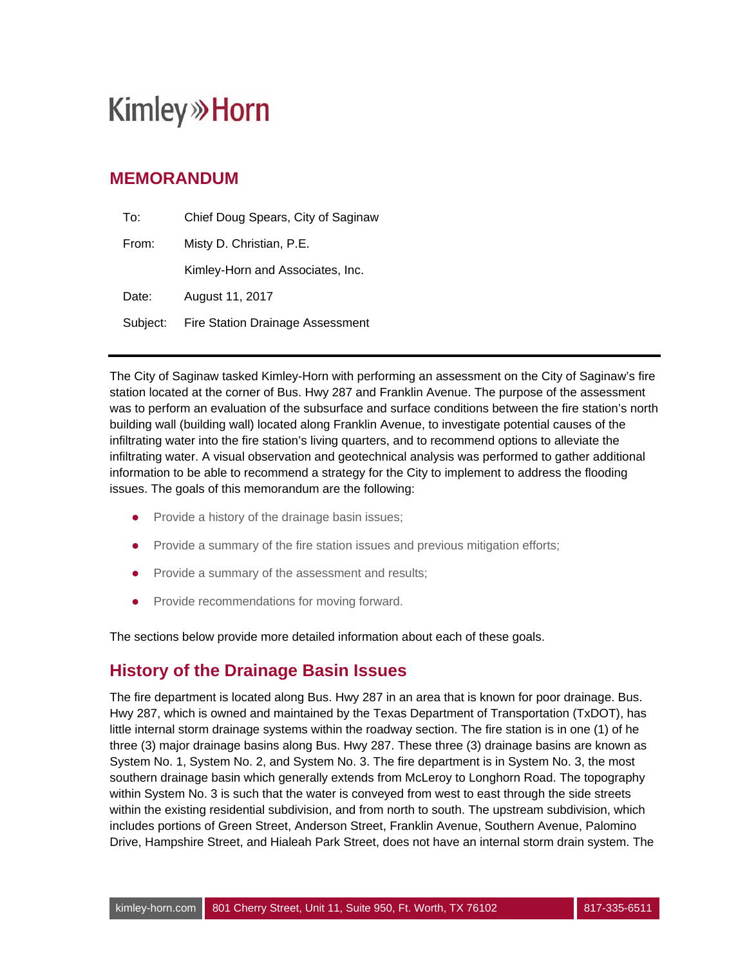## **MEMORANDUM**

| To:      | Chief Doug Spears, City of Saginaw      |  |
|----------|-----------------------------------------|--|
| From:    | Misty D. Christian, P.E.                |  |
|          | Kimley-Horn and Associates, Inc.        |  |
| Date:    | August 11, 2017                         |  |
| Subject: | <b>Fire Station Drainage Assessment</b> |  |

The City of Saginaw tasked Kimley-Horn with performing an assessment on the City of Saginaw's fire station located at the corner of Bus. Hwy 287 and Franklin Avenue. The purpose of the assessment was to perform an evaluation of the subsurface and surface conditions between the fire station's north building wall (building wall) located along Franklin Avenue, to investigate potential causes of the infiltrating water into the fire station's living quarters, and to recommend options to alleviate the infiltrating water. A visual observation and geotechnical analysis was performed to gather additional information to be able to recommend a strategy for the City to implement to address the flooding issues. The goals of this memorandum are the following:

- Provide a history of the drainage basin issues;
- Provide a summary of the fire station issues and previous mitigation efforts;
- Provide a summary of the assessment and results;
- Provide recommendations for moving forward.

The sections below provide more detailed information about each of these goals.

### **History of the Drainage Basin Issues**

The fire department is located along Bus. Hwy 287 in an area that is known for poor drainage. Bus. Hwy 287, which is owned and maintained by the Texas Department of Transportation (TxDOT), has little internal storm drainage systems within the roadway section. The fire station is in one (1) of he three (3) major drainage basins along Bus. Hwy 287. These three (3) drainage basins are known as System No. 1, System No. 2, and System No. 3. The fire department is in System No. 3, the most southern drainage basin which generally extends from McLeroy to Longhorn Road. The topography within System No. 3 is such that the water is conveyed from west to east through the side streets within the existing residential subdivision, and from north to south. The upstream subdivision, which includes portions of Green Street, Anderson Street, Franklin Avenue, Southern Avenue, Palomino Drive, Hampshire Street, and Hialeah Park Street, does not have an internal storm drain system. The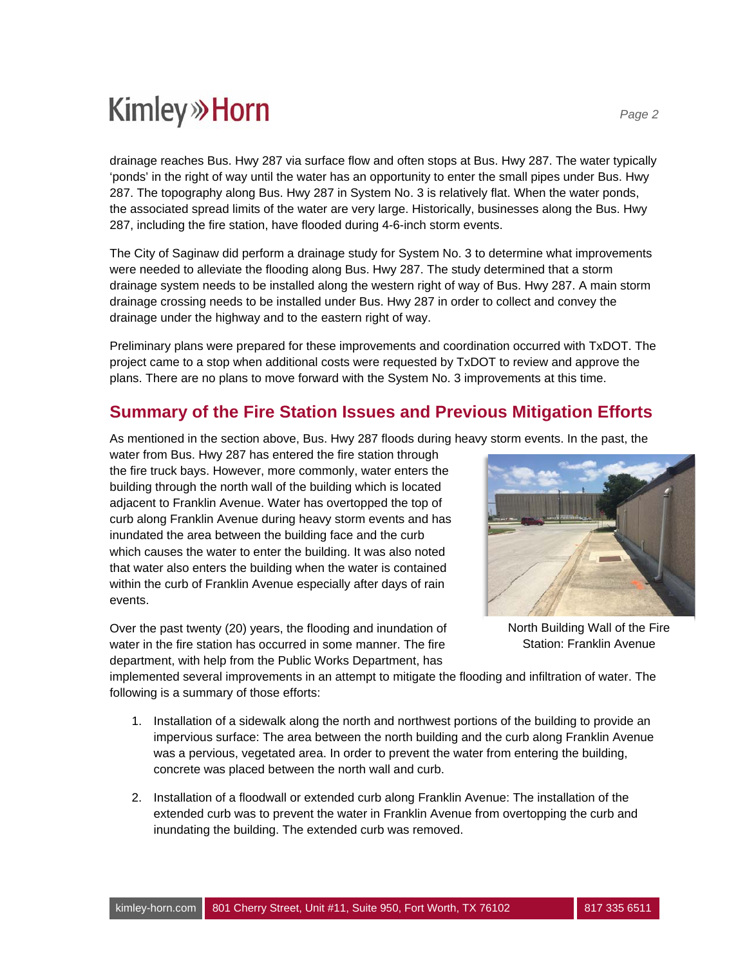drainage reaches Bus. Hwy 287 via surface flow and often stops at Bus. Hwy 287. The water typically 'ponds' in the right of way until the water has an opportunity to enter the small pipes under Bus. Hwy 287. The topography along Bus. Hwy 287 in System No. 3 is relatively flat. When the water ponds, the associated spread limits of the water are very large. Historically, businesses along the Bus. Hwy 287, including the fire station, have flooded during 4-6-inch storm events.

The City of Saginaw did perform a drainage study for System No. 3 to determine what improvements were needed to alleviate the flooding along Bus. Hwy 287. The study determined that a storm drainage system needs to be installed along the western right of way of Bus. Hwy 287. A main storm drainage crossing needs to be installed under Bus. Hwy 287 in order to collect and convey the drainage under the highway and to the eastern right of way.

Preliminary plans were prepared for these improvements and coordination occurred with TxDOT. The project came to a stop when additional costs were requested by TxDOT to review and approve the plans. There are no plans to move forward with the System No. 3 improvements at this time.

## **Summary of the Fire Station Issues and Previous Mitigation Efforts**

As mentioned in the section above, Bus. Hwy 287 floods during heavy storm events. In the past, the

water from Bus. Hwy 287 has entered the fire station through the fire truck bays. However, more commonly, water enters the building through the north wall of the building which is located adjacent to Franklin Avenue. Water has overtopped the top of curb along Franklin Avenue during heavy storm events and has inundated the area between the building face and the curb which causes the water to enter the building. It was also noted that water also enters the building when the water is contained within the curb of Franklin Avenue especially after days of rain events.

Over the past twenty (20) years, the flooding and inundation of water in the fire station has occurred in some manner. The fire department, with help from the Public Works Department, has



North Building Wall of the Fire Station: Franklin Avenue

implemented several improvements in an attempt to mitigate the flooding and infiltration of water. The following is a summary of those efforts:

- 1. Installation of a sidewalk along the north and northwest portions of the building to provide an impervious surface: The area between the north building and the curb along Franklin Avenue was a pervious, vegetated area. In order to prevent the water from entering the building, concrete was placed between the north wall and curb.
- 2. Installation of a floodwall or extended curb along Franklin Avenue: The installation of the extended curb was to prevent the water in Franklin Avenue from overtopping the curb and inundating the building. The extended curb was removed.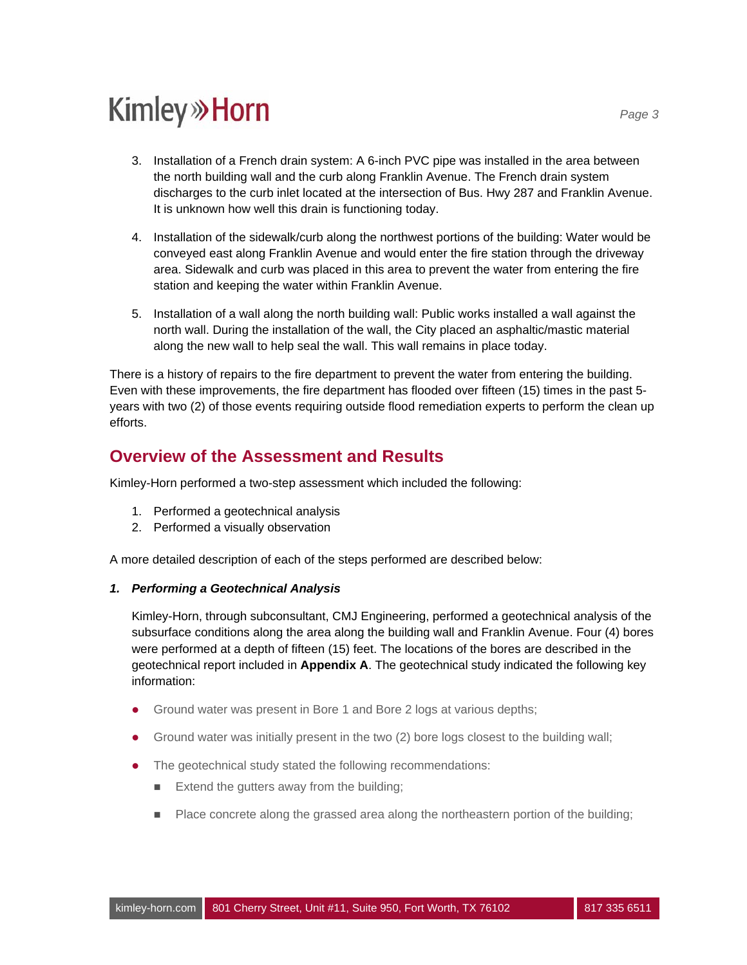- 3. Installation of a French drain system: A 6-inch PVC pipe was installed in the area between the north building wall and the curb along Franklin Avenue. The French drain system discharges to the curb inlet located at the intersection of Bus. Hwy 287 and Franklin Avenue. It is unknown how well this drain is functioning today.
- 4. Installation of the sidewalk/curb along the northwest portions of the building: Water would be conveyed east along Franklin Avenue and would enter the fire station through the driveway area. Sidewalk and curb was placed in this area to prevent the water from entering the fire station and keeping the water within Franklin Avenue.
- 5. Installation of a wall along the north building wall: Public works installed a wall against the north wall. During the installation of the wall, the City placed an asphaltic/mastic material along the new wall to help seal the wall. This wall remains in place today.

There is a history of repairs to the fire department to prevent the water from entering the building. Even with these improvements, the fire department has flooded over fifteen (15) times in the past 5 years with two (2) of those events requiring outside flood remediation experts to perform the clean up efforts.

## **Overview of the Assessment and Results**

Kimley-Horn performed a two-step assessment which included the following:

- 1. Performed a geotechnical analysis
- 2. Performed a visually observation

A more detailed description of each of the steps performed are described below:

#### *1. Performing a Geotechnical Analysis*

Kimley-Horn, through subconsultant, CMJ Engineering, performed a geotechnical analysis of the subsurface conditions along the area along the building wall and Franklin Avenue. Four (4) bores were performed at a depth of fifteen (15) feet. The locations of the bores are described in the geotechnical report included in **Appendix A**. The geotechnical study indicated the following key information:

- Ground water was present in Bore 1 and Bore 2 logs at various depths;
- Ground water was initially present in the two (2) bore logs closest to the building wall;
- The geotechnical study stated the following recommendations:
	- $\blacksquare$  Extend the gutters away from the building;
	- **Place concrete along the grassed area along the northeastern portion of the building;**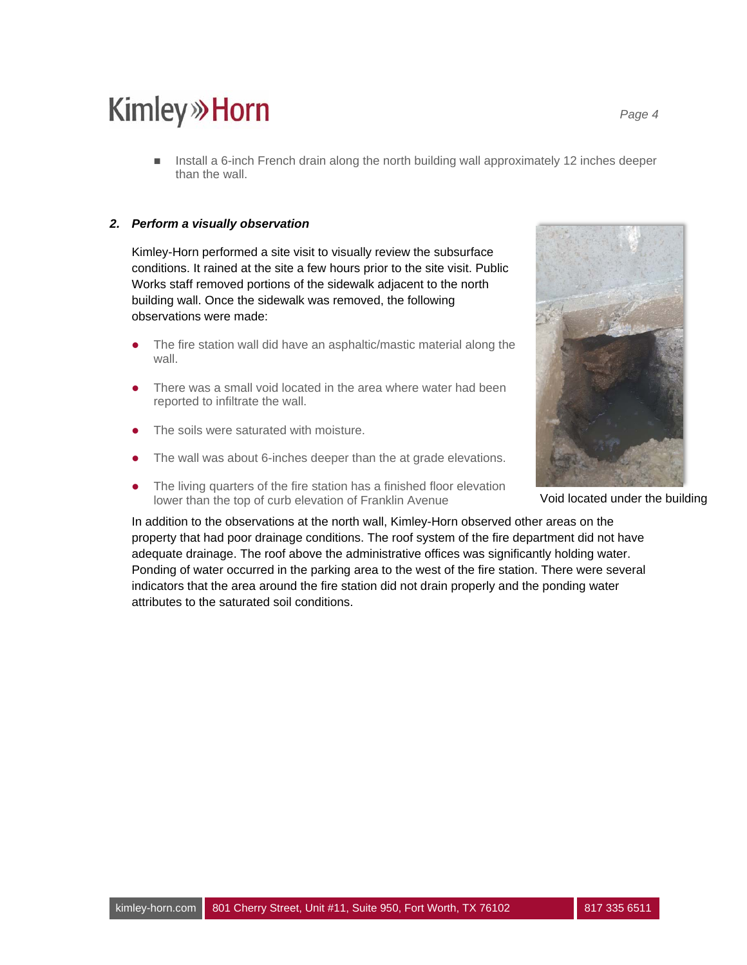**Install a 6-inch French drain along the north building wall approximately 12 inches deeper** than the wall.

#### *2. Perform a visually observation*

Kimley-Horn performed a site visit to visually review the subsurface conditions. It rained at the site a few hours prior to the site visit. Public Works staff removed portions of the sidewalk adjacent to the north building wall. Once the sidewalk was removed, the following observations were made:

- The fire station wall did have an asphaltic/mastic material along the wall.
- There was a small void located in the area where water had been reported to infiltrate the wall.
- The soils were saturated with moisture.
- The wall was about 6-inches deeper than the at grade elevations.
- The living quarters of the fire station has a finished floor elevation lower than the top of curb elevation of Franklin Avenue



Void located under the building

In addition to the observations at the north wall, Kimley-Horn observed other areas on the property that had poor drainage conditions. The roof system of the fire department did not have adequate drainage. The roof above the administrative offices was significantly holding water. Ponding of water occurred in the parking area to the west of the fire station. There were several indicators that the area around the fire station did not drain properly and the ponding water attributes to the saturated soil conditions.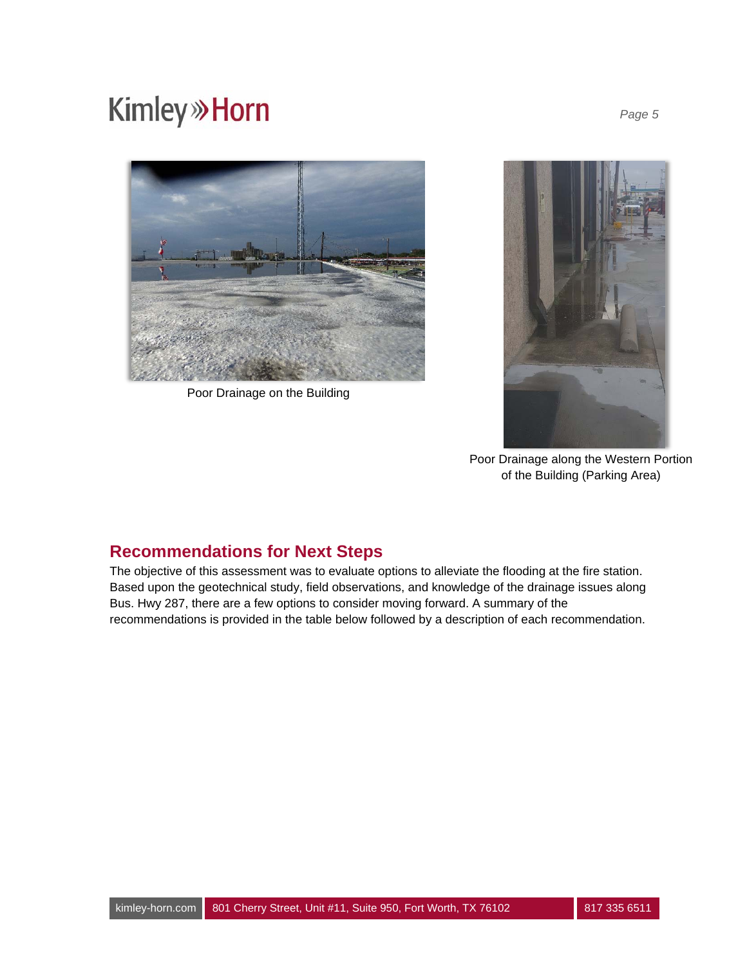## **Kimley**<sup>></sup>>Horn



Poor Drainage on the Building



Poor Drainage along the Western Portion of the Building (Parking Area)

## **Recommendations for Next Steps**

The objective of this assessment was to evaluate options to alleviate the flooding at the fire station. Based upon the geotechnical study, field observations, and knowledge of the drainage issues along Bus. Hwy 287, there are a few options to consider moving forward. A summary of the recommendations is provided in the table below followed by a description of each recommendation.

*Page 5*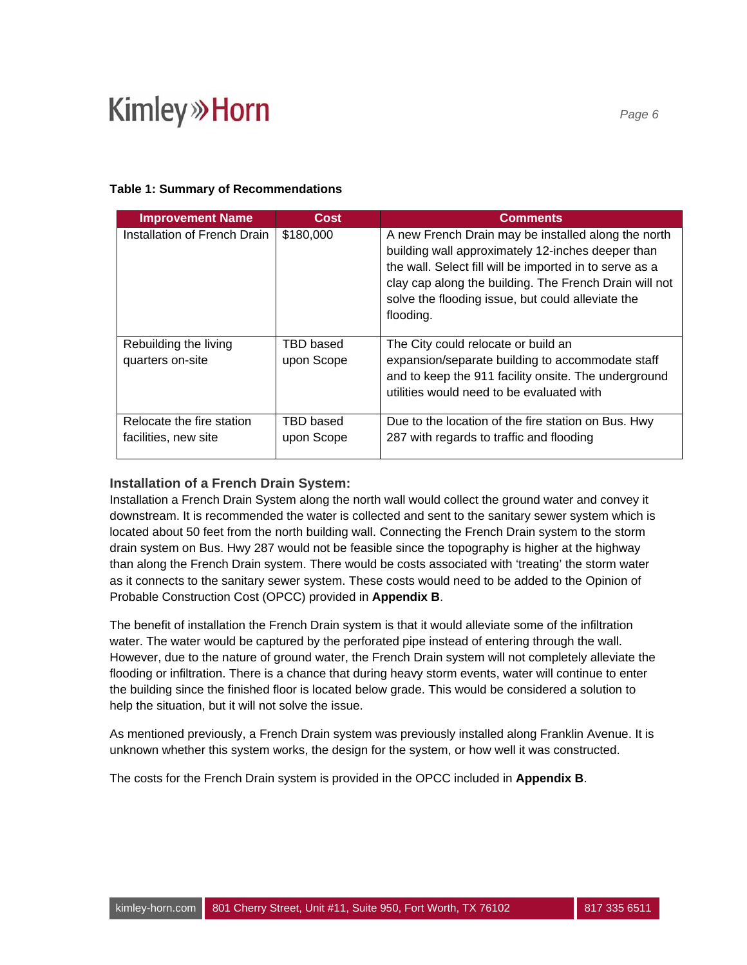### **Table 1: Summary of Recommendations**

| <b>Improvement Name</b>                           | Cost                    | <b>Comments</b>                                                                                                                                                                                                                                                                                 |
|---------------------------------------------------|-------------------------|-------------------------------------------------------------------------------------------------------------------------------------------------------------------------------------------------------------------------------------------------------------------------------------------------|
| Installation of French Drain                      | \$180,000               | A new French Drain may be installed along the north<br>building wall approximately 12-inches deeper than<br>the wall. Select fill will be imported in to serve as a<br>clay cap along the building. The French Drain will not<br>solve the flooding issue, but could alleviate the<br>flooding. |
| Rebuilding the living<br>quarters on-site         | TBD based<br>upon Scope | The City could relocate or build an<br>expansion/separate building to accommodate staff<br>and to keep the 911 facility onsite. The underground<br>utilities would need to be evaluated with                                                                                                    |
| Relocate the fire station<br>facilities, new site | TBD based<br>upon Scope | Due to the location of the fire station on Bus. Hwy<br>287 with regards to traffic and flooding                                                                                                                                                                                                 |

### **Installation of a French Drain System:**

Installation a French Drain System along the north wall would collect the ground water and convey it downstream. It is recommended the water is collected and sent to the sanitary sewer system which is located about 50 feet from the north building wall. Connecting the French Drain system to the storm drain system on Bus. Hwy 287 would not be feasible since the topography is higher at the highway than along the French Drain system. There would be costs associated with 'treating' the storm water as it connects to the sanitary sewer system. These costs would need to be added to the Opinion of Probable Construction Cost (OPCC) provided in **Appendix B**.

The benefit of installation the French Drain system is that it would alleviate some of the infiltration water. The water would be captured by the perforated pipe instead of entering through the wall. However, due to the nature of ground water, the French Drain system will not completely alleviate the flooding or infiltration. There is a chance that during heavy storm events, water will continue to enter the building since the finished floor is located below grade. This would be considered a solution to help the situation, but it will not solve the issue.

As mentioned previously, a French Drain system was previously installed along Franklin Avenue. It is unknown whether this system works, the design for the system, or how well it was constructed.

The costs for the French Drain system is provided in the OPCC included in **Appendix B**.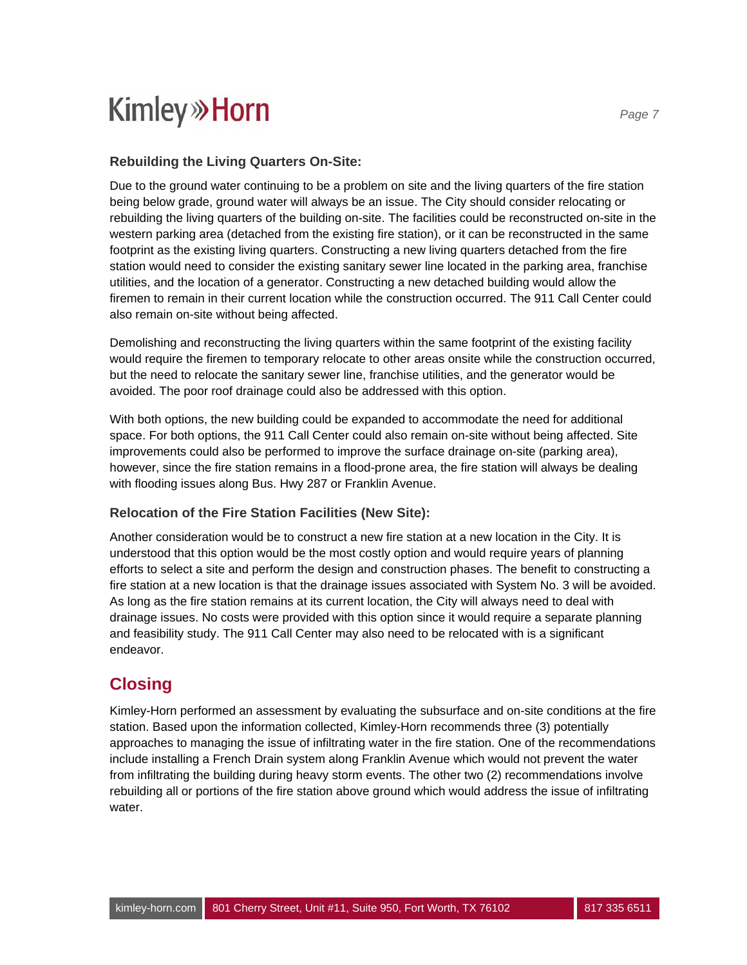### **Rebuilding the Living Quarters On-Site:**

Due to the ground water continuing to be a problem on site and the living quarters of the fire station being below grade, ground water will always be an issue. The City should consider relocating or rebuilding the living quarters of the building on-site. The facilities could be reconstructed on-site in the western parking area (detached from the existing fire station), or it can be reconstructed in the same footprint as the existing living quarters. Constructing a new living quarters detached from the fire station would need to consider the existing sanitary sewer line located in the parking area, franchise utilities, and the location of a generator. Constructing a new detached building would allow the firemen to remain in their current location while the construction occurred. The 911 Call Center could also remain on-site without being affected.

Demolishing and reconstructing the living quarters within the same footprint of the existing facility would require the firemen to temporary relocate to other areas onsite while the construction occurred, but the need to relocate the sanitary sewer line, franchise utilities, and the generator would be avoided. The poor roof drainage could also be addressed with this option.

With both options, the new building could be expanded to accommodate the need for additional space. For both options, the 911 Call Center could also remain on-site without being affected. Site improvements could also be performed to improve the surface drainage on-site (parking area), however, since the fire station remains in a flood-prone area, the fire station will always be dealing with flooding issues along Bus. Hwy 287 or Franklin Avenue.

### **Relocation of the Fire Station Facilities (New Site):**

Another consideration would be to construct a new fire station at a new location in the City. It is understood that this option would be the most costly option and would require years of planning efforts to select a site and perform the design and construction phases. The benefit to constructing a fire station at a new location is that the drainage issues associated with System No. 3 will be avoided. As long as the fire station remains at its current location, the City will always need to deal with drainage issues. No costs were provided with this option since it would require a separate planning and feasibility study. The 911 Call Center may also need to be relocated with is a significant endeavor.

## **Closing**

Kimley-Horn performed an assessment by evaluating the subsurface and on-site conditions at the fire station. Based upon the information collected, Kimley-Horn recommends three (3) potentially approaches to managing the issue of infiltrating water in the fire station. One of the recommendations include installing a French Drain system along Franklin Avenue which would not prevent the water from infiltrating the building during heavy storm events. The other two (2) recommendations involve rebuilding all or portions of the fire station above ground which would address the issue of infiltrating water.